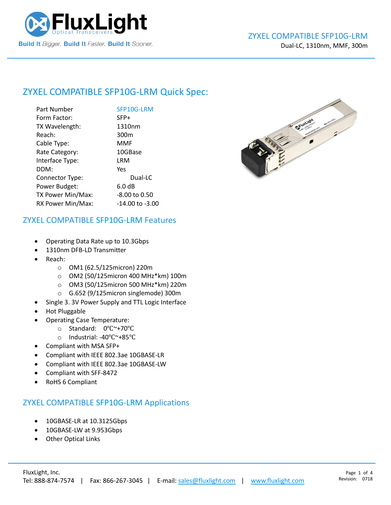

## ZYXEL COMPATIBLE [SFP10G-LRM](https://www.fluxlight.com/) Quick Spec:

| Part Number       | SFP10G-LRM        |
|-------------------|-------------------|
| Form Factor:      | SFP+              |
| TX Wavelength:    | 1310nm            |
| Reach:            | 300 <sub>m</sub>  |
| Cable Type:       | MMF               |
| Rate Category:    | 10GBase           |
| Interface Type:   | LRM               |
| DDM:              | Yes               |
| Connector Type:   | Dual-LC           |
| Power Budget:     | 6.0 <sub>dB</sub> |
| TX Power Min/Max: | $-8.00$ to 0.50   |
| RX Power Min/Max: | -14.00 to -3.00   |



#### ZYXEL COMPATIBLE [SFP10G-LRM](https://www.fluxlight.com/) Features

- Operating Data Rate up to 10.3Gbps
- 1310nm DFB-LD Transmitter
- Reach:
	- o OM1 (62.5/125micron) 220m
	- o OM2 (50/125micron 400 MHz\*km) 100m
	- o OM3 (50/125micron 500 MHz\*km) 220m
	- o G.652 (9/125micron singlemode) 300m
- Single 3. 3V Power Supply and TTL Logic Interface
- Hot Pluggable
- Operating Case Temperature:
	- o Standard: 0℃~+70℃
	- o Industrial: -40℃~+85℃
- Compliant with MSA SFP+
- Compliant with IEEE 802.3ae 10GBASE-LR
- Compliant with IEEE 802.3ae 10GBASE-LW
- Compliant with SFF-8472
- RoHS 6 Compliant

#### ZYXEL COMPATIBLE [SFP10G-LRM](https://www.fluxlight.com/) Applications

- 10GBASE-LR at 10.3125Gbps
- 10GBASE-LW at 9.953Gbps
- **Other Optical Links**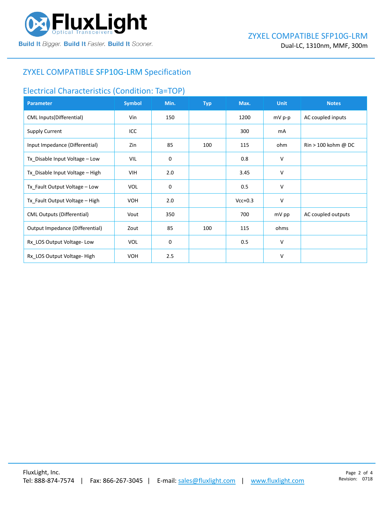

### ZYXEL COMPATIBLE [SFP10G-LRM](https://www.fluxlight.com/) Specification

#### Electrical Characteristics (Condition: Ta=TOP)

| <b>Parameter</b>                  | <b>Symbol</b> | Min. | <b>Typ</b> | Max.      | <b>Unit</b> | <b>Notes</b>                          |
|-----------------------------------|---------------|------|------------|-----------|-------------|---------------------------------------|
| CML Inputs(Differential)          | Vin           | 150  |            | 1200      | mV p-p      | AC coupled inputs                     |
| <b>Supply Current</b>             | ICC           |      |            | 300       | mA          |                                       |
| Input Impedance (Differential)    | Zin           | 85   | 100        | 115       | ohm         | $\text{Rin} > 100 \text{ kohm } @$ DC |
| Tx_Disable Input Voltage - Low    | VIL           | 0    |            | 0.8       | V           |                                       |
| Tx_Disable Input Voltage - High   | VIH           | 2.0  |            | 3.45      | V           |                                       |
| Tx_Fault Output Voltage - Low     | <b>VOL</b>    | 0    |            | 0.5       | V           |                                       |
| Tx_Fault Output Voltage - High    | <b>VOH</b>    | 2.0  |            | $Vcc+0.3$ | V           |                                       |
| <b>CML Outputs (Differential)</b> | Vout          | 350  |            | 700       | mV pp       | AC coupled outputs                    |
| Output Impedance (Differential)   | Zout          | 85   | 100        | 115       | ohms        |                                       |
| Rx_LOS Output Voltage-Low         | <b>VOL</b>    | 0    |            | 0.5       | V           |                                       |
| Rx LOS Output Voltage-High        | <b>VOH</b>    | 2.5  |            |           | V           |                                       |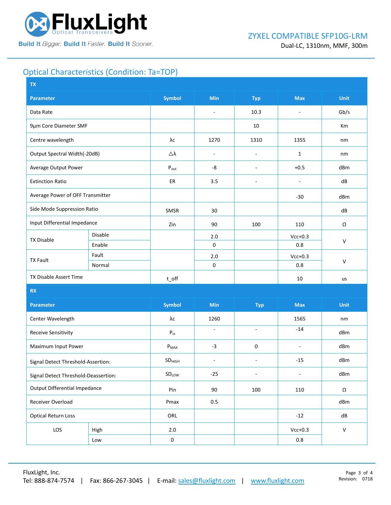

## Optical Characteristics (Condition: Ta=TOP)

| <b>Symbol</b><br><b>Min</b><br><b>Max</b><br><b>Parameter</b><br><b>Typ</b>                                               | <b>Unit</b>  |
|---------------------------------------------------------------------------------------------------------------------------|--------------|
| 10.3<br>Data Rate<br>÷,<br>$\sim$                                                                                         | Gb/s         |
| 9µm Core Diameter SMF<br>10                                                                                               | Km           |
| λс<br>Centre wavelength<br>1270<br>1310<br>1355                                                                           | nm           |
| Output Spectral Width(-20dB)<br>Δλ<br>$\mathbf{1}$<br>$\overline{\phantom{a}}$<br>÷,                                      | nm           |
| Average Output Power<br>-8<br>$+0.5$<br>$P_{\text{out}}$<br>$\overline{\phantom{a}}$                                      | dBm          |
| 3.5<br><b>Extinction Ratio</b><br>ER<br>÷,<br>$\overline{a}$                                                              | dB           |
| Average Power of OFF Transmitter<br>$-30$                                                                                 | dBm          |
| Side Mode Suppression Ratio<br>SMSR<br>30                                                                                 | dB           |
| Input Differential Impedance<br>Zin<br>90<br>100<br>110                                                                   | Ω            |
| Disable<br>$Vcc+0.3$<br>2.0<br><b>TX Disable</b>                                                                          | $\mathsf{V}$ |
| Enable<br>$\mathsf 0$<br>0.8                                                                                              |              |
| Fault<br>$2.0$<br>$Vcc+0.3$<br><b>TX Fault</b>                                                                            |              |
| $\mathsf 0$<br>0.8<br>Normal                                                                                              | $\mathsf{V}$ |
| TX Disable Assert Time<br>$t$ off<br>10                                                                                   | us           |
| <b>RX</b>                                                                                                                 |              |
| <b>Symbol</b><br>Min<br><b>Max</b><br><b>Parameter</b><br><b>Typ</b>                                                      | <b>Unit</b>  |
| Center Wavelength<br>λс<br>1260<br>1565                                                                                   | nm           |
| $-14$<br>$\bar{\phantom{a}}$<br>$\sim$<br><b>Receive Sensitivity</b><br>${\sf P}_{\sf in}$                                | dBm          |
| $-3$<br>0<br>Maximum Input Power<br>$P_{MAX}$<br>$\overline{\phantom{a}}$                                                 | dBm          |
| $-15$<br>SD <sub>HIGH</sub><br>$\overline{\phantom{a}}$<br>$\overline{\phantom{a}}$<br>Signal Detect Threshold-Assertion: | dBm          |
| SDLow<br>$-25$<br>$\blacksquare$<br>$\overline{\phantom{a}}$<br>Signal Detect Threshold-Deassertion:                      | dBm          |
| <b>Output Differential Impedance</b><br>Pin<br>90<br>100<br>110                                                           | Ω            |
| Receiver Overload<br>Pmax<br>0.5                                                                                          | dBm          |
| <b>Optical Return Loss</b><br>ORL<br>$-12$                                                                                | dB           |
| LOS<br>$Vcc+0.3$<br>$2.0\,$<br>High                                                                                       | $\mathsf{V}$ |
| $\pmb{0}$<br>$0.8\,$<br>Low                                                                                               |              |